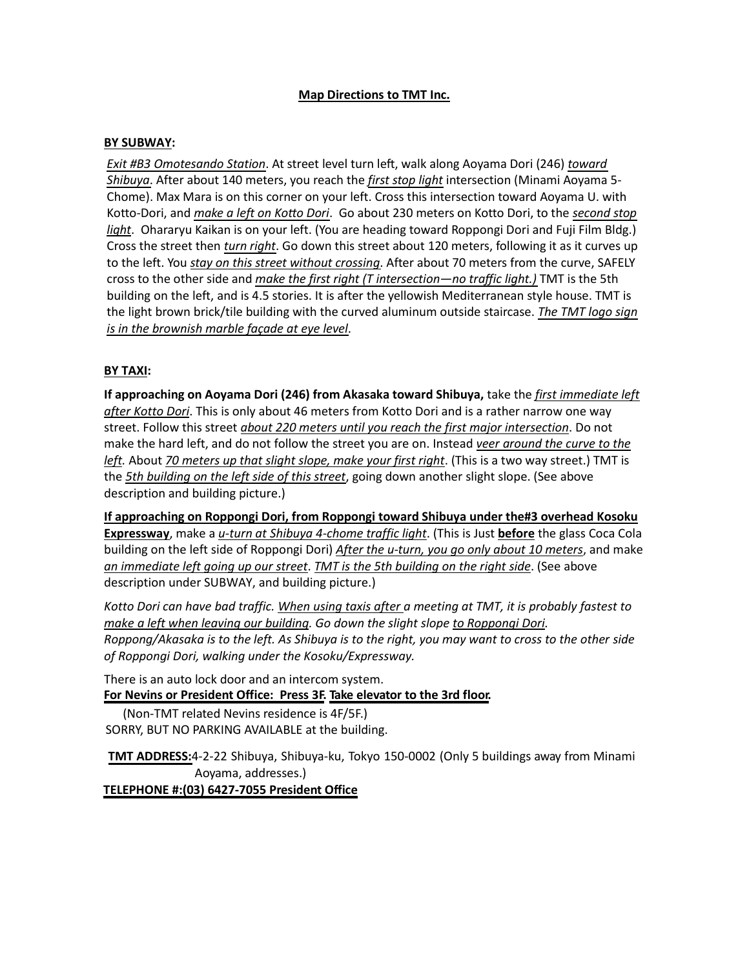# **Map Directions to TMT Inc.**

### **BY SUBWAY:**

 *Shibuya*. After about 140 meters, you reach the *first stop light* intersection (Minami Aoyama 5- Kotto-Dori, and *<u>make a left on Kotto Dori</u>. Go about 230 meters on Kotto Dori, to the <u>second stop</u> light*. Ohararyu Kaikan is on your left. (You are heading toward Roppongi Dori and Fuji Film Bldg.) Cross the street then *turn right*. Go down this street about 120 meters, following it as it curves up *Exit #B3 Omotesando Station*. At street level turn le+, walk along Aoyama Dori (246) *toward* Chome). Max Mara is on this corner on your left. Cross this intersection toward Aoyama U. with to the left. You *stay on this street without crossing*. After about 70 meters from the curve, SAFELY cross to the other side and *make the first right (T intersection—no traffic light.)* TMT is the 5th building on the left, and is 4.5 stories. It is after the yellowish Mediterranean style house. TMT is the light brown brick/tile building with the curved aluminum outside staircase. *The TMT logo sign is in the brownish marble façade at eye level*.

## **BY TAXI:**

**If approaching on Aoyama Dori (246) from Akasaka toward Shibuya,** take the *first immediate left after Kotto Dori*. This is only about 46 meters from Kotto Dori and is a rather narrow one way street. Follow this street *about 220 meters until you reach the first major intersection*. Do not make the hard left, and do not follow the street you are on. Instead *veer around the curve to the left.* About *70 meters up that slight slope, make your first right*. (This is a two way street.) TMT is the *5th building on the left side of this street*, going down another slight slope. (See above description and building picture.)

**If approaching on Roppongi Dori, from Roppongi toward Shibuya under the#3 overhead Kosoku Expressway**, make a *u-turn at Shibuya 4-chome traffic light*. (This is Just **before** the glass Coca Cola building on the left side of Roppongi Dori) *After the u-turn, you go only about 10 meters*, and make *an immediate left going up our street*. *TMT is the 5th building on the right side*. (See above description under SUBWAY, and building picture.)

*Kotto Dori can have bad traffic. When using taxis after a meeting at TMT, it is probably fastest to make a left when leaving our building. Go down the slight slope to Roppongi Dori. Roppong/Akasaka is to the left. As Shibuya is to the right, you may want to cross to the other side of Roppongi Dori, walking under the Kosoku/Expressway.*

There is an auto lock door and an intercom system. **For Nevins or President Office: Press 3F. Take elevator to the 3rd floor.**

(Non-TMT related Nevins residence is 4F/5F.) SORRY, BUT NO PARKING AVAILABLE at the building.

**TMT ADDRESS:**4-2-22 Shibuya, Shibuya-ku, Tokyo 150-0002 (Only 5 buildings away from Minami Aoyama, addresses.)

**TELEPHONE #:(03) 6427-7055 President Office**